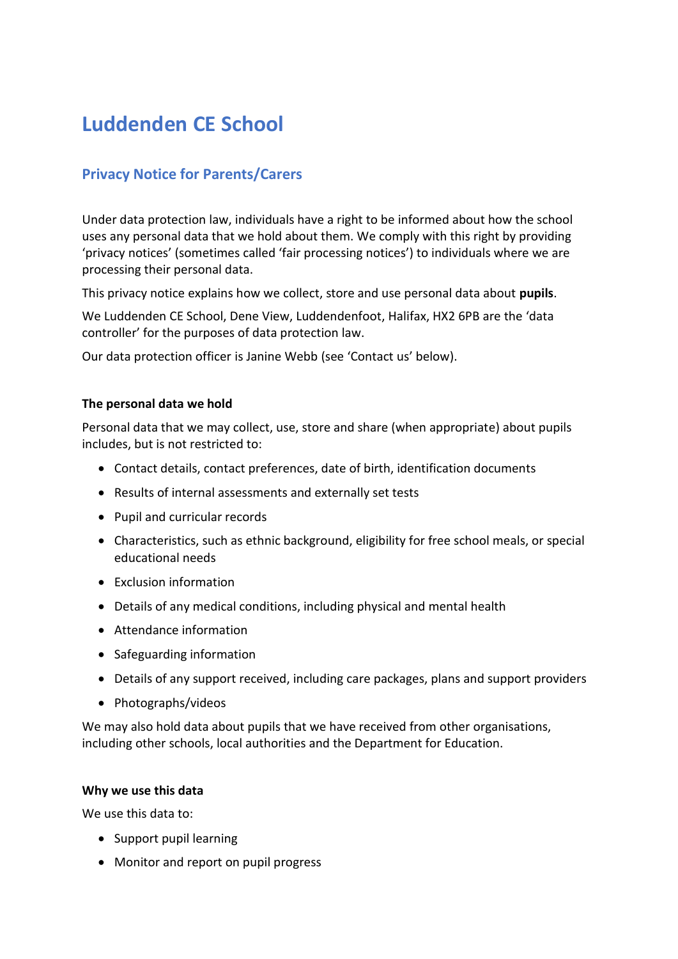# **Luddenden CE School**

## **Privacy Notice for Parents/Carers**

Under data protection law, individuals have a right to be informed about how the school uses any personal data that we hold about them. We comply with this right by providing 'privacy notices' (sometimes called 'fair processing notices') to individuals where we are processing their personal data.

This privacy notice explains how we collect, store and use personal data about **pupils**.

We Luddenden CE School, Dene View, Luddendenfoot, Halifax, HX2 6PB are the 'data controller' for the purposes of data protection law.

Our data protection officer is Janine Webb (see 'Contact us' below).

## **The personal data we hold**

Personal data that we may collect, use, store and share (when appropriate) about pupils includes, but is not restricted to:

- Contact details, contact preferences, date of birth, identification documents
- Results of internal assessments and externally set tests
- Pupil and curricular records
- Characteristics, such as ethnic background, eligibility for free school meals, or special educational needs
- Exclusion information
- Details of any medical conditions, including physical and mental health
- Attendance information
- Safeguarding information
- Details of any support received, including care packages, plans and support providers
- Photographs/videos

We may also hold data about pupils that we have received from other organisations, including other schools, local authorities and the Department for Education.

### **Why we use this data**

We use this data to:

- Support pupil learning
- Monitor and report on pupil progress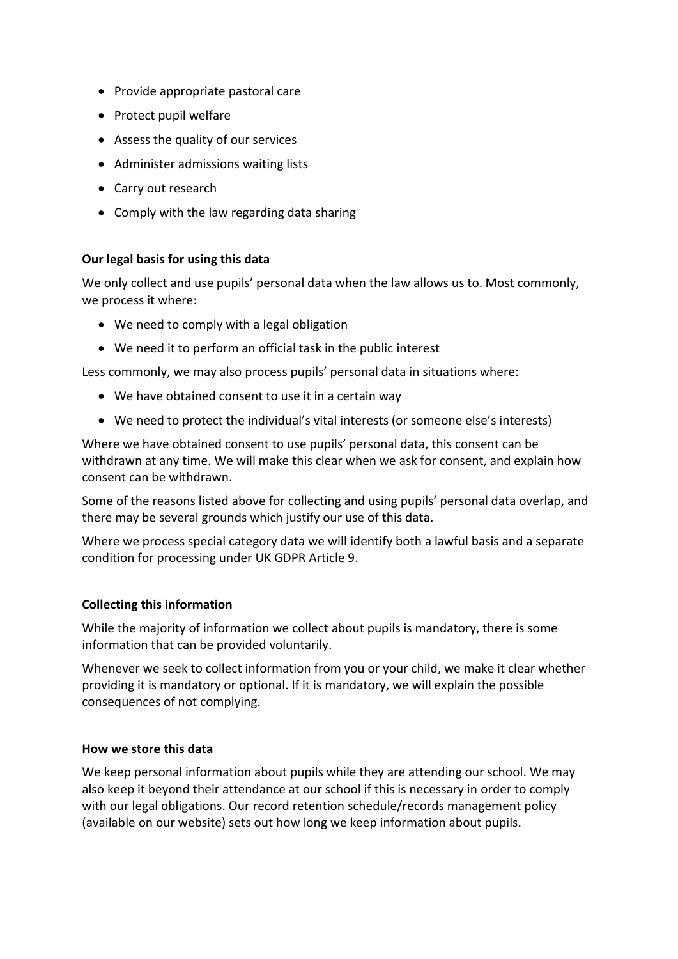- Provide appropriate pastoral care
- Protect pupil welfare
- Assess the quality of our services
- Administer admissions waiting lists
- Carry out research
- Comply with the law regarding data sharing

## **Our legal basis for using this data**

We only collect and use pupils' personal data when the law allows us to. Most commonly, we process it where:

- We need to comply with a legal obligation
- We need it to perform an official task in the public interest

Less commonly, we may also process pupils' personal data in situations where:

- We have obtained consent to use it in a certain way
- We need to protect the individual's vital interests (or someone else's interests)

Where we have obtained consent to use pupils' personal data, this consent can be withdrawn at any time. We will make this clear when we ask for consent, and explain how consent can be withdrawn.

Some of the reasons listed above for collecting and using pupils' personal data overlap, and there may be several grounds which justify our use of this data.

Where we process special category data we will identify both a lawful basis and a separate condition for processing under UK GDPR Article 9.

## **Collecting this information**

While the majority of information we collect about pupils is mandatory, there is some information that can be provided voluntarily.

Whenever we seek to collect information from you or your child, we make it clear whether providing it is mandatory or optional. If it is mandatory, we will explain the possible consequences of not complying.

### **How we store this data**

We keep personal information about pupils while they are attending our school. We may also keep it beyond their attendance at our school if this is necessary in order to comply with our legal obligations. Our record retention schedule/records management policy (available on our website) sets out how long we keep information about pupils.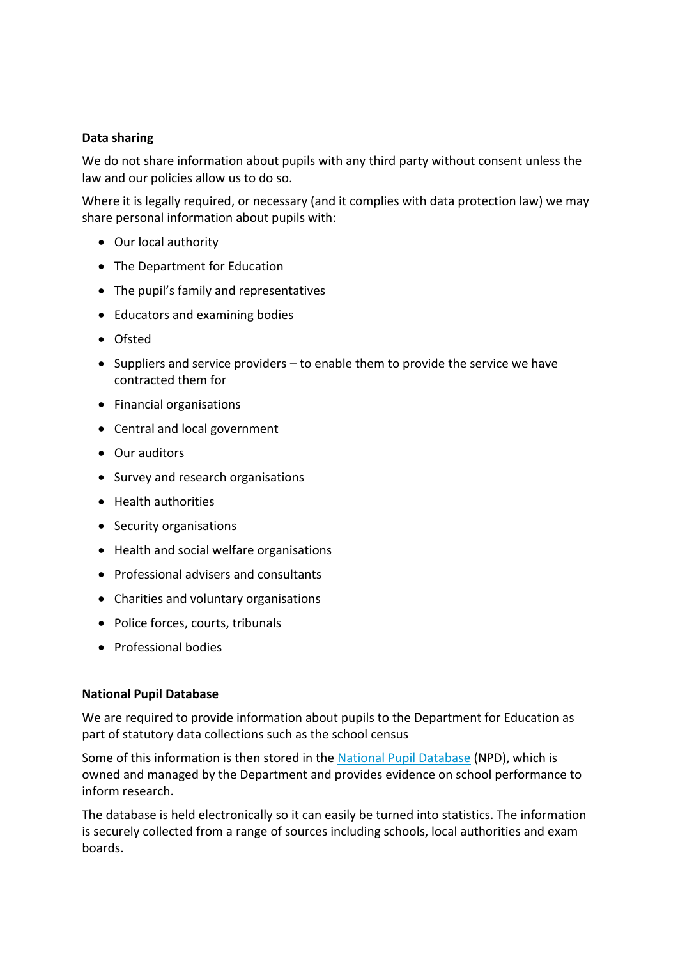## **Data sharing**

We do not share information about pupils with any third party without consent unless the law and our policies allow us to do so.

Where it is legally required, or necessary (and it complies with data protection law) we may share personal information about pupils with:

- Our local authority
- The Department for Education
- The pupil's family and representatives
- Educators and examining bodies
- Ofsted
- Suppliers and service providers to enable them to provide the service we have contracted them for
- Financial organisations
- Central and local government
- Our auditors
- Survey and research organisations
- Health authorities
- Security organisations
- Health and social welfare organisations
- Professional advisers and consultants
- Charities and voluntary organisations
- Police forces, courts, tribunals
- Professional bodies

### **National Pupil Database**

We are required to provide information about pupils to the Department for Education as part of statutory data collections such as the school census

Some of this information is then stored in the [National Pupil Database](https://www.gov.uk/government/publications/national-pupil-database-user-guide-and-supporting-information) (NPD), which is owned and managed by the Department and provides evidence on school performance to inform research.

The database is held electronically so it can easily be turned into statistics. The information is securely collected from a range of sources including schools, local authorities and exam boards.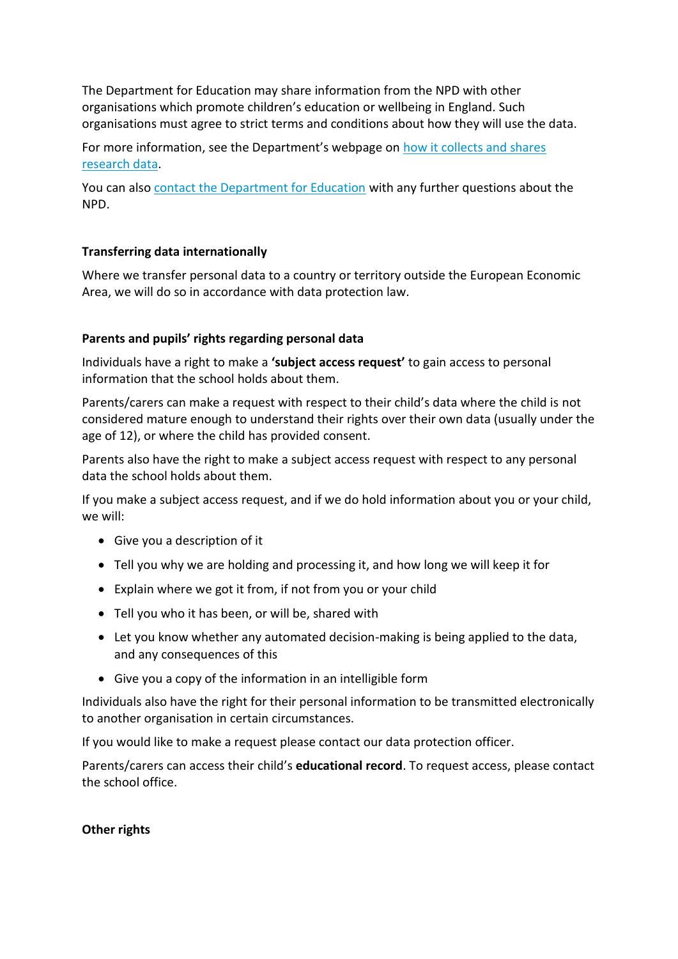The Department for Education may share information from the NPD with other organisations which promote children's education or wellbeing in England. Such organisations must agree to strict terms and conditions about how they will use the data.

For more information, see the Department's webpage on [how it collects and shares](https://www.gov.uk/data-protection-how-we-collect-and-share-research-data)  [research data.](https://www.gov.uk/data-protection-how-we-collect-and-share-research-data)

You can also [contact the Department for Education](https://www.gov.uk/contact-dfe) with any further questions about the NPD.

## **Transferring data internationally**

Where we transfer personal data to a country or territory outside the European Economic Area, we will do so in accordance with data protection law.

## **Parents and pupils' rights regarding personal data**

Individuals have a right to make a **'subject access request'** to gain access to personal information that the school holds about them.

Parents/carers can make a request with respect to their child's data where the child is not considered mature enough to understand their rights over their own data (usually under the age of 12), or where the child has provided consent.

Parents also have the right to make a subject access request with respect to any personal data the school holds about them.

If you make a subject access request, and if we do hold information about you or your child, we will:

- Give you a description of it
- Tell you why we are holding and processing it, and how long we will keep it for
- Explain where we got it from, if not from you or your child
- Tell you who it has been, or will be, shared with
- Let you know whether any automated decision-making is being applied to the data, and any consequences of this
- Give you a copy of the information in an intelligible form

Individuals also have the right for their personal information to be transmitted electronically to another organisation in certain circumstances.

If you would like to make a request please contact our data protection officer.

Parents/carers can access their child's **educational record**. To request access, please contact the school office.

### **Other rights**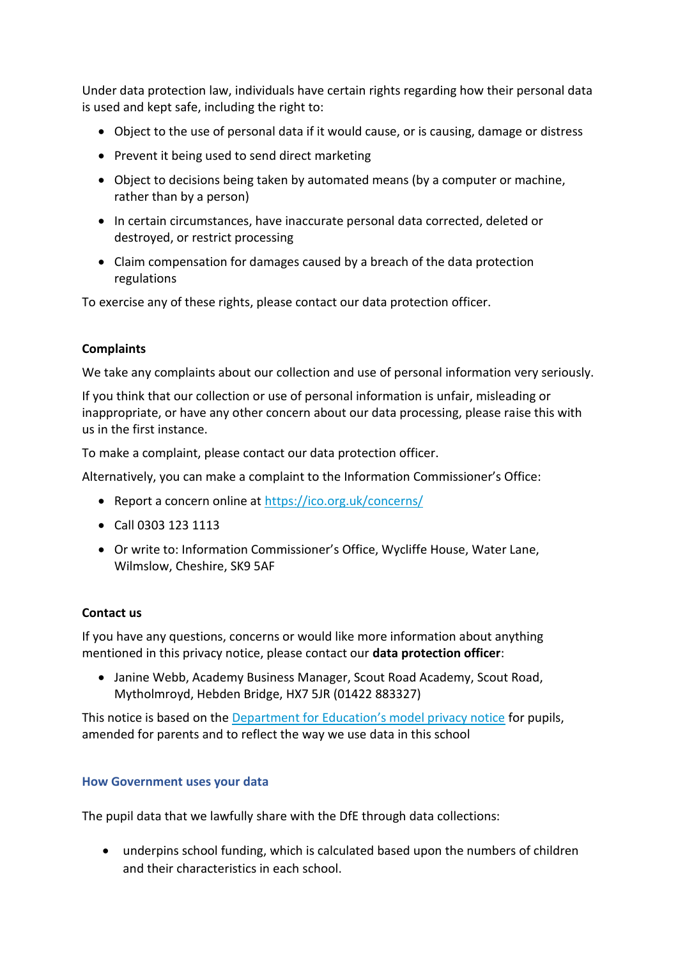Under data protection law, individuals have certain rights regarding how their personal data is used and kept safe, including the right to:

- Object to the use of personal data if it would cause, or is causing, damage or distress
- Prevent it being used to send direct marketing
- Object to decisions being taken by automated means (by a computer or machine, rather than by a person)
- In certain circumstances, have inaccurate personal data corrected, deleted or destroyed, or restrict processing
- Claim compensation for damages caused by a breach of the data protection regulations

To exercise any of these rights, please contact our data protection officer.

### **Complaints**

We take any complaints about our collection and use of personal information very seriously.

If you think that our collection or use of personal information is unfair, misleading or inappropriate, or have any other concern about our data processing, please raise this with us in the first instance.

To make a complaint, please contact our data protection officer.

Alternatively, you can make a complaint to the Information Commissioner's Office:

- Report a concern online at<https://ico.org.uk/concerns/>
- Call 0303 123 1113
- Or write to: Information Commissioner's Office, Wycliffe House, Water Lane, Wilmslow, Cheshire, SK9 5AF

### **Contact us**

If you have any questions, concerns or would like more information about anything mentioned in this privacy notice, please contact our **data protection officer**:

• Janine Webb, Academy Business Manager, Scout Road Academy, Scout Road, Mytholmroyd, Hebden Bridge, HX7 5JR (01422 883327)

This notice is based on the [Department for Education's model privacy notice](https://www.gov.uk/government/publications/data-protection-and-privacy-privacy-notices) for pupils, amended for parents and to reflect the way we use data in this school

### **How Government uses your data**

The pupil data that we lawfully share with the DfE through data collections:

• underpins school funding, which is calculated based upon the numbers of children and their characteristics in each school.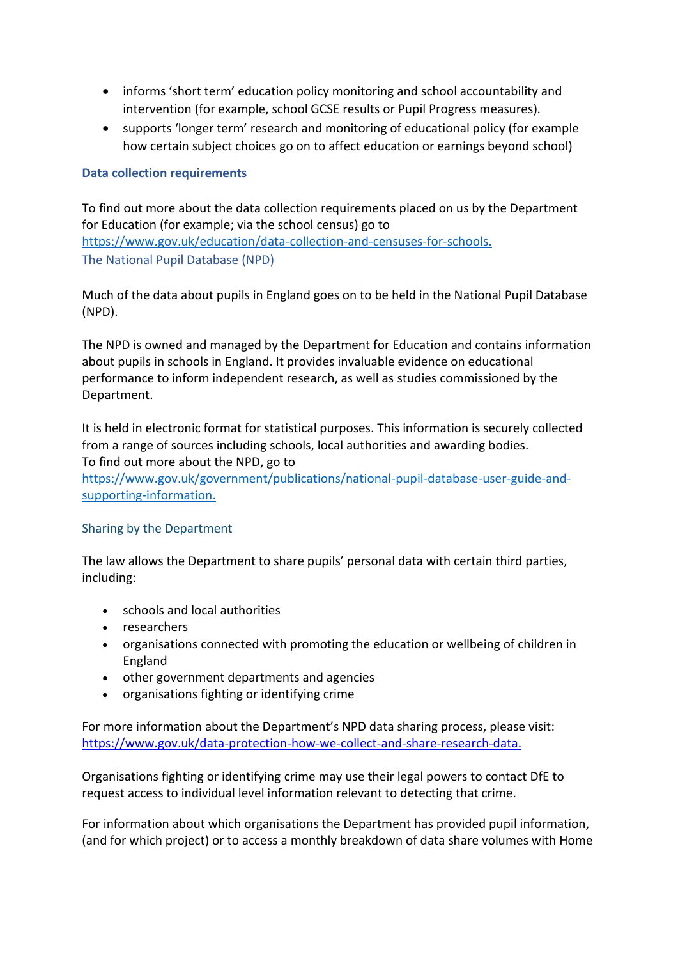- informs 'short term' education policy monitoring and school accountability and intervention (for example, school GCSE results or Pupil Progress measures).
- supports 'longer term' research and monitoring of educational policy (for example how certain subject choices go on to affect education or earnings beyond school)

## **Data collection requirements**

To find out more about the data collection requirements placed on us by the Department for Education (for example; via the school census) go to [https://www.gov.uk/education/data-collection-and-censuses-for-schools.](https://www.gov.uk/education/data-collection-and-censuses-for-schools) The National Pupil Database (NPD)

Much of the data about pupils in England goes on to be held in the National Pupil Database (NPD).

The NPD is owned and managed by the Department for Education and contains information about pupils in schools in England. It provides invaluable evidence on educational performance to inform independent research, as well as studies commissioned by the Department.

It is held in electronic format for statistical purposes. This information is securely collected from a range of sources including schools, local authorities and awarding bodies. To find out more about the NPD, go to

[https://www.gov.uk/government/publications/national-pupil-database-user-guide-and](https://www.gov.uk/government/publications/national-pupil-database-user-guide-and-supporting-information)[supporting-information.](https://www.gov.uk/government/publications/national-pupil-database-user-guide-and-supporting-information)

### Sharing by the Department

The law allows the Department to share pupils' personal data with certain third parties, including:

- schools and local authorities
- researchers
- organisations connected with promoting the education or wellbeing of children in England
- other government departments and agencies
- organisations fighting or identifying crime

For more information about the Department's NPD data sharing process, please visit: [https://www.gov.uk/data-protection-how-we-collect-and-share-research-data.](https://www.gov.uk/data-protection-how-we-collect-and-share-research-data)

Organisations fighting or identifying crime may use their legal powers to contact DfE to request access to individual level information relevant to detecting that crime.

For information about which organisations the Department has provided pupil information, (and for which project) or to access a monthly breakdown of data share volumes with Home